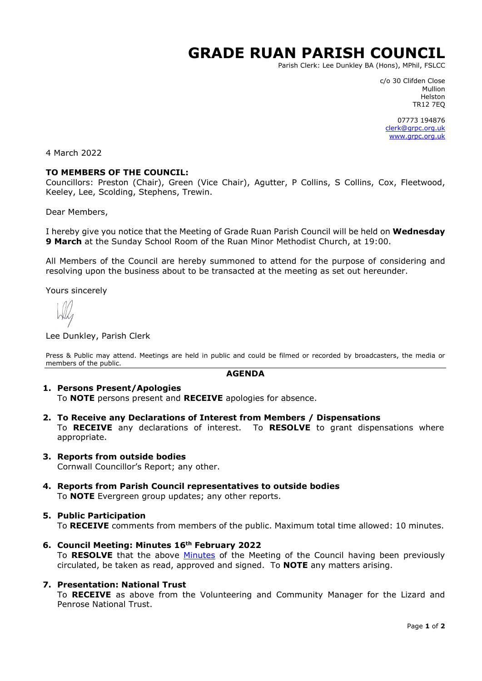# **GRADE RUAN PARISH COUNCIL**

Parish Clerk: Lee Dunkley BA (Hons), MPhil, FSLCC

c/o 30 Clifden Close Mullion Helston TR12 7EQ

07773 194876 [clerk@grpc.org.uk](mailto:clerk@grpc.org.uk) [www.grpc.org.uk](http://www.grpc.org.uk/)

4 March 2022

#### **TO MEMBERS OF THE COUNCIL:**

Councillors: Preston (Chair), Green (Vice Chair), Agutter, P Collins, S Collins, Cox, Fleetwood, Keeley, Lee, Scolding, Stephens, Trewin.

Dear Members,

I hereby give you notice that the Meeting of Grade Ruan Parish Council will be held on **Wednesday 9 March** at the Sunday School Room of the Ruan Minor Methodist Church, at 19:00.

All Members of the Council are hereby summoned to attend for the purpose of considering and resolving upon the business about to be transacted at the meeting as set out hereunder.

Yours sincerely

Lee Dunkley, Parish Clerk

Press & Public may attend. Meetings are held in public and could be filmed or recorded by broadcasters, the media or members of the public.

#### **AGENDA**

#### **1. Persons Present/Apologies**

To **NOTE** persons present and **RECEIVE** apologies for absence.

- **2. To Receive any Declarations of Interest from Members / Dispensations** To **RECEIVE** any declarations of interest. To **RESOLVE** to grant dispensations where appropriate.
- **3. Reports from outside bodies** Cornwall Councillor's Report; any other.
- **4. Reports from Parish Council representatives to outside bodies** To **NOTE** Evergreen group updates; any other reports.

### **5. Public Participation**

To **RECEIVE** comments from members of the public. Maximum total time allowed: 10 minutes.

**6. Council Meeting: Minutes 16th February 2022** To **RESOLVE** that the above [Minutes](https://www.grpc.org.uk/files/8716/4553/1781/Minutes_16_February_2022_DRAFT.pdf) of the Meeting of the Council having been previously circulated, be taken as read, approved and signed. To **NOTE** any matters arising.

#### **7. Presentation: National Trust**

To **RECEIVE** as above from the Volunteering and Community Manager for the Lizard and Penrose National Trust.